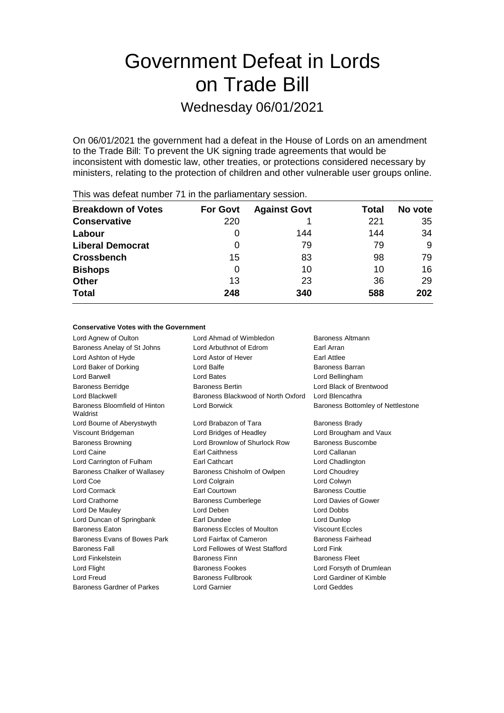## Government Defeat in Lords on Trade Bill

## Wednesday 06/01/2021

On 06/01/2021 the government had a defeat in the House of Lords on an amendment to the Trade Bill: To prevent the UK signing trade agreements that would be inconsistent with domestic law, other treaties, or protections considered necessary by ministers, relating to the protection of children and other vulnerable user groups online.

| <b>Breakdown of Votes</b> | <b>For Govt</b> | <b>Against Govt</b> | Total | No vote |
|---------------------------|-----------------|---------------------|-------|---------|
| <b>Conservative</b>       | 220             |                     | 221   | 35      |
| Labour                    | O               | 144                 | 144   | 34      |
| <b>Liberal Democrat</b>   | 0               | 79                  | 79    | 9       |
| <b>Crossbench</b>         | 15              | 83                  | 98    | 79      |
| <b>Bishops</b>            | 0               | 10                  | 10    | 16      |
| <b>Other</b>              | 13              | 23                  | 36    | 29      |
| <b>Total</b>              | 248             | 340                 | 588   | 202     |
|                           |                 |                     |       |         |

This was defeat number 71 in the parliamentary session.

### **Conservative Votes with the Government**

| Lord Agnew of Oulton                      | Lord Ahmad of Wimbledon            | Baroness Altmann                  |
|-------------------------------------------|------------------------------------|-----------------------------------|
| Baroness Anelay of St Johns               | Lord Arbuthnot of Edrom            | Earl Arran                        |
| Lord Ashton of Hyde                       | Lord Astor of Hever                | <b>Earl Attlee</b>                |
| Lord Baker of Dorking                     | Lord Balfe                         | Baroness Barran                   |
| Lord Barwell                              | Lord Bates                         | Lord Bellingham                   |
| <b>Baroness Berridge</b>                  | <b>Baroness Bertin</b>             | Lord Black of Brentwood           |
| <b>Lord Blackwell</b>                     | Baroness Blackwood of North Oxford | Lord Blencathra                   |
| Baroness Bloomfield of Hinton<br>Waldrist | Lord Borwick                       | Baroness Bottomley of Nettlestone |
| Lord Bourne of Aberystwyth                | Lord Brabazon of Tara              | Baroness Brady                    |
| Viscount Bridgeman                        | Lord Bridges of Headley            | Lord Brougham and Vaux            |
| <b>Baroness Browning</b>                  | Lord Brownlow of Shurlock Row      | Baroness Buscombe                 |
| Lord Caine                                | <b>Earl Caithness</b>              | Lord Callanan                     |
| Lord Carrington of Fulham                 | Earl Cathcart                      | Lord Chadlington                  |
| Baroness Chalker of Wallasey              | Baroness Chisholm of Owlpen        | Lord Choudrey                     |
| Lord Coe                                  | Lord Colgrain                      | Lord Colwyn                       |
| Lord Cormack                              | Earl Courtown                      | <b>Baroness Couttie</b>           |
| Lord Crathorne                            | <b>Baroness Cumberlege</b>         | Lord Davies of Gower              |
| Lord De Mauley                            | Lord Deben                         | Lord Dobbs                        |
| Lord Duncan of Springbank                 | Earl Dundee                        | Lord Dunlop                       |
| <b>Baroness Eaton</b>                     | Baroness Eccles of Moulton         | <b>Viscount Eccles</b>            |
| Baroness Evans of Bowes Park              | Lord Fairfax of Cameron            | <b>Baroness Fairhead</b>          |
| <b>Baroness Fall</b>                      | Lord Fellowes of West Stafford     | Lord Fink                         |
| Lord Finkelstein                          | <b>Baroness Finn</b>               | <b>Baroness Fleet</b>             |
| Lord Flight                               | Baroness Fookes                    | Lord Forsyth of Drumlean          |
| Lord Freud                                | Baroness Fullbrook                 | Lord Gardiner of Kimble           |
| Baroness Gardner of Parkes                | <b>Lord Garnier</b>                | Lord Geddes                       |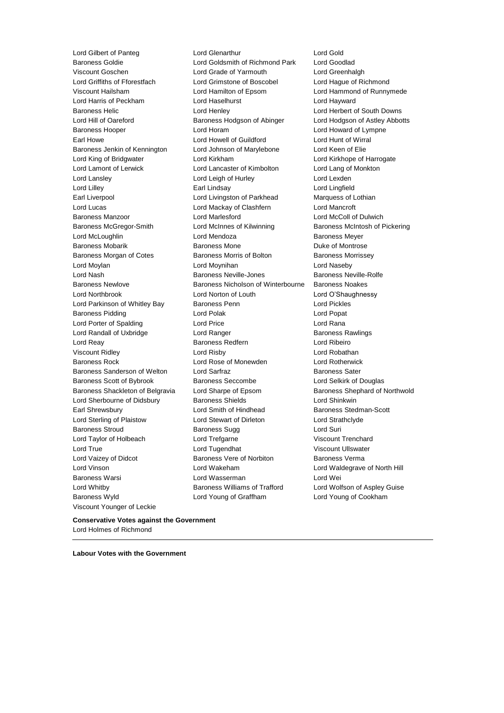Baroness Wyld Lord Young of Graffham Lord Young of Cookham Viscount Younger of Leckie

Lord Gilbert of Panteg Lord Glenarthur Lord Gold Lord Goldsmith of Richmond Park Lord Goodlad Viscount Goschen Lord Grade of Yarmouth Lord Greenhalgh Lord Griffiths of Fforestfach Lord Grimstone of Boscobel Lord Hague of Richmond Viscount Hailsham Lord Hamilton of Epsom Lord Hammond of Runnymede Lord Harris of Peckham Lord Haselhurst Lord Hayward Baroness Helic Lord Henley Lord Herbert of South Downs Lord Hill of Oareford **Baroness Hodgson of Abinger** Lord Hodgson of Astley Abbotts Baroness Hooper Lord Horam Lord Howard of Lympne Earl Howe Lord Howell of Guildford Lord Hunt of Wirral Baroness Jenkin of Kennington Lord Johnson of Marylebone Lord Keen of Elie Lord King of Bridgwater **Lord Kirkham** Lord Kirkham Lord Kirkhope of Harrogate Lord Lamont of Lerwick Lord Lancaster of Kimbolton Lord Lang of Monkton Lord Lansley Lord Leigh of Hurley Lord Lexden Lord Lilley Earl Lindsay Lord Lingfield Earl Liverpool **Lord Livingston of Parkhead** Marquess of Lothian Lord Lucas Lord Mackay of Clashfern Lord Mancroft Baroness Manzoor Lord Marlesford Lord McColl of Dulwich Baroness McGregor-Smith **Lord McInnes of Kilwinning** Baroness McIntosh of Pickering Lord McLoughlin **Lord Mendoza Baroness Meyer** Baroness Mobarik **Baroness Mone** Baroness Mone **Duke of Montrose** Baroness Morgan of Cotes **Baroness Morris of Bolton** Baroness Morrissey Lord Moylan Lord Moynihan Lord Naseby Lord Nash Baroness Neville-Jones Baroness Neville-Rolfe Baroness Newlove Baroness Nicholson of Winterbourne Baroness Noakes Lord Northbrook Lord Norton of Louth Lord O'Shaughnessy Lord Parkinson of Whitley Bay Baroness Penn Lord Pickles Baroness Pidding **Lord Polak Lord Polace Lord Popat** Lord Porter of Spalding Lord Price Lord Rana Lord Randall of Uxbridge **Lord Ranger** Lord Ranger **Baroness Rawlings** Lord Reay Baroness Redfern Lord Ribeiro Viscount Ridley Lord Risby Lord Robathan Baroness Rock Lord Rose of Monewden Lord Rotherwick Baroness Sanderson of Welton Lord Sarfraz **Baroness Sater** Baroness Sater Baroness Scott of Bybrook Baroness Seccombe Lord Selkirk of Douglas Baroness Shackleton of Belgravia Lord Sharpe of Epsom Baroness Shephard of Northwold Lord Sherbourne of Didsbury **Baroness Shields Lord Shinkwin** Earl Shrewsbury **Earl Shrewsbury** Lord Smith of Hindhead **Baroness** Stedman-Scott Lord Sterling of Plaistow Lord Stewart of Dirleton Lord Strathclyde Baroness Stroud **Baroness Sugg Lord Suri** Lord Taylor of Holbeach Lord Trefgarne Viscount Trenchard Lord True Lord Tugendhat Viscount Ullswater Lord Vaizey of Didcot **Baroness Vere of Norbiton** Baroness Verma Lord Vinson Lord Wakeham Lord Waldegrave of North Hill Baroness Warsi Lord Wasserman Lord Wei Lord Whitby Baroness Williams of Trafford Lord Wolfson of Aspley Guise

**Conservative Votes against the Government** Lord Holmes of Richmond

**Labour Votes with the Government**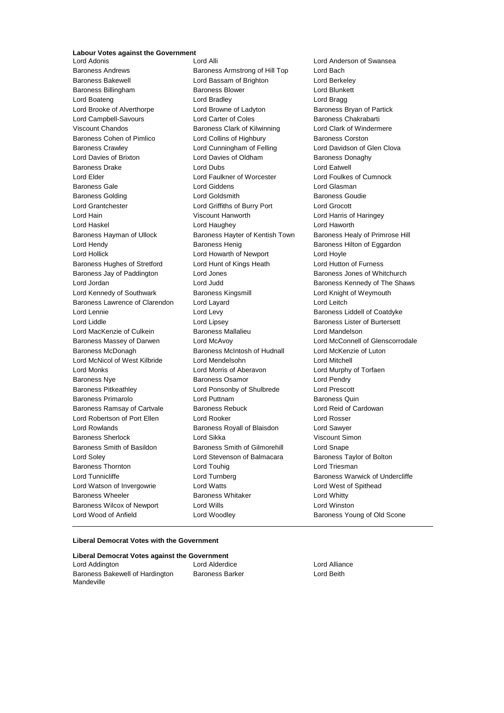## **Labour Votes against the Government**

Baroness Andrews **Baroness Armstrong of Hill Top** Lord Bach<br>Baroness Bakewell **Bach Lord Bassam of Brighton** Lord Berke Baroness Billingham Baroness Blower Lord Blunkett Lord Boateng **Lord Bradley** Cord Bradley **Lord Bragg** Lord Brooke of Alverthorpe Lord Browne of Ladyton Baroness Bryan of Partick Lord Campbell-Savours Lord Carter of Coles Baroness Chakrabarti Viscount Chandos **Baroness Clark of Kilwinning** Lord Clark of Windermere Baroness Cohen of Pimlico **Lord Collins of Highbury** Baroness Corston Baroness Crawley Lord Cunningham of Felling Lord Davidson of Glen Clova Lord Davies of Brixton **Lord Davies of Oldham** Baroness Donaghy Baroness Drake Lord Dubs Lord Eatwell Lord Elder Lord Faulkner of Worcester Lord Foulkes of Cumnock Baroness Gale **Lord Giddens** Lord Giddens **Lord Gines** Lord Giasman Baroness Golding **Baroness** Goudie Lord Goldsmith **Baroness** Goudie Lord Grantchester Lord Griffiths of Burry Port Lord Grocott Lord Hain Viscount Hanworth Lord Harris of Haringey Lord Haskel Lord Haughey Lord Haworth Baroness Hayman of Ullock Baroness Hayter of Kentish Town Baroness Healy of Primrose Hill Lord Hendy **Baroness Henig** Baroness Henig Baroness Hilton of Eggardon Lord Hollick Lord Howarth of Newport Lord Hoyle Baroness Hughes of Stretford Lord Hunt of Kings Heath Lord Hutton of Furness Baroness Jay of Paddington Lord Jones Baroness Jones of Whitchurch Lord Jordan **Lord Judd** Baroness Kennedy of The Shaws Lord Kennedy of Southwark **Baroness Kingsmill Baroness Kingsmill** Lord Knight of Weymouth Baroness Lawrence of Clarendon Lord Layard Lord Leitch Lord Lennie Lord Levy Baroness Liddell of Coatdyke Lord Liddle **Lord Lipsey** Lord Lipsey **Baroness Lister of Burtersett** Lord MacKenzie of Culkein **Baroness Mallalieu** Lord Mandelson Baroness Massey of Darwen Lord McAvoy Lord McConnell of Glenscorrodale Baroness McDonagh Baroness McIntosh of Hudnall Lord McKenzie of Luton Lord McNicol of West Kilbride Lord Mendelsohn Lord Mitchell Lord Monks Lord Morris of Aberavon Lord Murphy of Torfaen Baroness Nye **Baroness Osamor Baroness Osamor Lord Pendry** Baroness Pitkeathley Lord Ponsonby of Shulbrede Lord Prescott Baroness Primarolo **Baroness Primarolo** Lord Puttnam **Baroness Quin** Baroness Ramsay of Cartvale Baroness Rebuck Lord Reid of Cardowan Lord Robertson of Port Ellen Lord Rooker Lord Rosser Lord Rowlands Baroness Royall of Blaisdon Lord Sawyer Baroness Sherlock Lord Sikka Viscount Simon Baroness Smith of Basildon Baroness Smith of Gilmorehill Lord Snape Lord Soley Lord Stevenson of Balmacara Baroness Taylor of Bolton Baroness Thornton **Lord Touhig** Lord Touhig Lord Triesman Lord Tunnicliffe **Lord Turnberg Community** Baroness Warwick of Undercliffe Lord Watson of Invergowrie Lord Watts Lord West of Spithead Baroness Wheeler **Baroness Whitaker Baroness Whitaker** Lord Whitty Baroness Wilcox of Newport Lord Wills Lord Winston

Lord Bassam of Brighton Lord Berkeley

**Lord Anderson of Swansea** Lord Wood of Anfield **Lord Woodley Baroness Young of Old Scone** 

### **Liberal Democrat Votes with the Government**

| Liberal Democrat Votes against the Government |                        |               |  |  |  |
|-----------------------------------------------|------------------------|---------------|--|--|--|
| Lord Addington                                | Lord Alderdice         | Lord Alliance |  |  |  |
| Baroness Bakewell of Hardington               | <b>Baroness Barker</b> | Lord Beith    |  |  |  |
| Mandeville                                    |                        |               |  |  |  |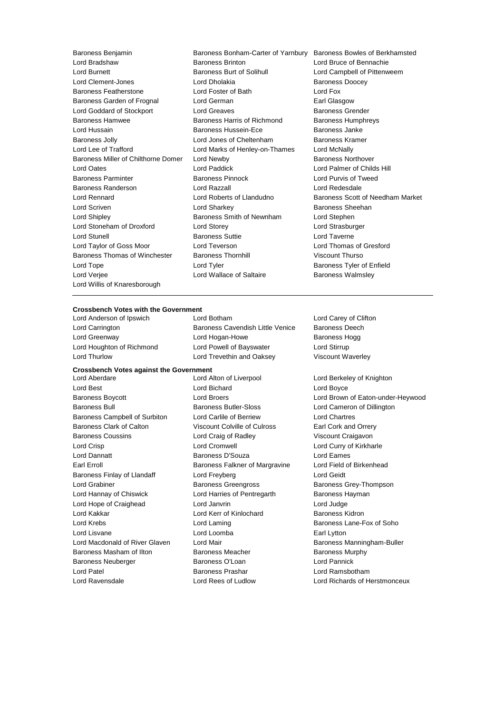Lord Burnett Baroness Burt of Solihull Lord Campbell of Pittenweem Lord Clement-Jones **Lord Dholakia Lord Dholakia** Baroness Doocey Baroness Featherstone Lord Foster of Bath Lord Fox Baroness Garden of Frognal Lord German **Earl Glasgow** Lord Goddard of Stockport Lord Greaves **Baroness Grender** Baroness Grender Baroness Hamwee Baroness Harris of Richmond Baroness Humphreys Lord Hussain Baroness Hussein-Ece Baroness Janke Baroness Jolly **Lord Jones of Cheltenham** Baroness Kramer Lord Lee of Trafford Lord Marks of Henley-on-Thames Lord McNally Baroness Miller of Chilthorne Domer Lord Newby **Baroness Northover** Baroness Northover Lord Oates Lord Paddick Lord Palmer of Childs Hill Baroness Parminter Baroness Pinnock Lord Purvis of Tweed Baroness Randerson Lord Razzall Lord Redesdale Lord Rennard Lord Roberts of Llandudno Baroness Scott of Needham Market Lord Scriven Lord Sharkey Baroness Sheehan Lord Shipley **Baroness Smith of Newnham** Lord Stephen Lord Stoneham of Droxford Lord Storey Lord Strasburger Lord Stunell Baroness Suttie Lord Taverne Lord Taylor of Goss Moor Lord Teverson Lord Thomas of Gresford Baroness Thomas of Winchester Baroness Thornhill Viscount Thurso Lord Tope Lord Tyler Baroness Tyler of Enfield Lord Verjee **Lord Wallace of Saltaire** Baroness Walmsley Lord Willis of Knaresborough

- Baroness Benjamin Baroness Bonham-Carter of Yarnbury Baroness Bowles of Berkhamsted<br>Lord Bradshaw Baroness Brinton Lord Bruce of Bennachie Lord Bradshaw Baroness Brinton Lord Bruce of Bennachie
	-

## **Crossbench Votes with the Government**<br>
Lord Anderson of Ipswich<br>
Lord Botham

Lord Anderson of Ipswich Lord Botham Lord Carey of Clifton Lord Carrington **Baroness Cavendish Little Venice** Baroness Deech Lord Greenway **Lord Hogan-Howe** Baroness Hogg Lord Houghton of Richmond Lord Powell of Bayswater Lord Stirrup

### **Crossbench Votes against the Government**

Lord Best Lord Bichard Lord Boyce Baroness Bull **Baroness Butler-Sloss** Lord Cameron of Dillington Baroness Campbell of Surbiton Lord Carlile of Berriew Lord Chartres Baroness Clark of Calton Viscount Colville of Culross Earl Cork and Orrery Baroness Coussins Lord Craig of Radley Viscount Craigavon Lord Crisp Lord Cromwell Lord Curry of Kirkharle Lord Dannatt Baroness D'Souza Lord Eames Earl Erroll **Example 2** Earl Baroness Falkner of Margravine Lord Field of Birkenhead Baroness Finlay of Llandaff **Lord Freyberg Lord Geidt** Lord Geidt Lord Grabiner **Baroness Greengross** Baroness Greengross Baroness Grey-Thompson Lord Hannay of Chiswick **Lord Harries of Pentregarth** Baroness Hayman Lord Hope of Craighead Lord Janvrin Lord Judge Lord Kakkar Lord Kerr of Kinlochard Baroness Kidron Lord Krebs **Lord Laming Lord Laming Baroness Lane-Fox of Soho** Lord Lisvane Lord Loomba Earl Lytton Lord Macdonald of River Glaven Lord Mair **Baroness Manningham-Buller** Baroness Manningham-Buller Baroness Masham of Ilton **Baroness Meacher** Baroness Meacher Baroness Murphy Baroness Neuberger **Baroness O'Loan** Baroness O'Loan Lord Pannick Lord Patel Baroness Prashar Lord Ramsbotham Lord Ravensdale Lord Rees of Ludlow Lord Richards of Herstmonceux

Lord Thurlow **Lord Trevethin and Oaksey School** Viscount Waverley Lord Aberdare Lord Alton of Liverpool Lord Berkeley of Knighton

Baroness Boycott Lord Broers Lord Brown of Eaton-under-Heywood